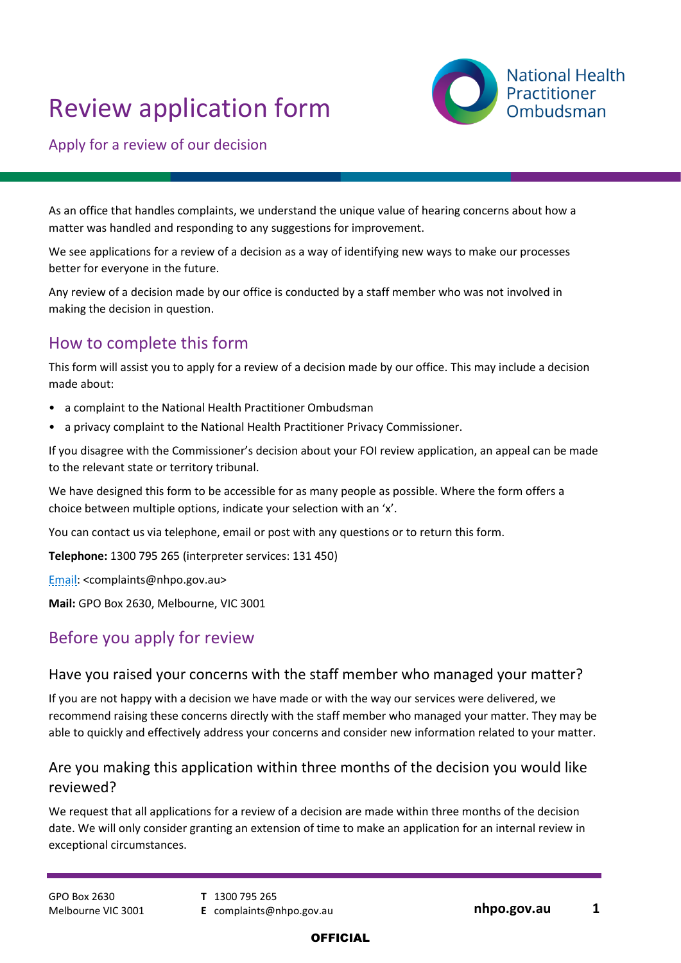# Review application form



Apply for a review of our decision

As an office that handles complaints, we understand the unique value of hearing concerns about how a matter was handled and responding to any suggestions for improvement.

We see applications for a review of a decision as a way of identifying new ways to make our processes better for everyone in the future.

Any review of a decision made by our office is conducted by a staff member who was not involved in making the decision in question.

## How to complete this form

This form will assist you to apply for a review of a decision made by our office. This may include a decision made about:

- a complaint to the National Health Practitioner Ombudsman
- a privacy complaint to the National Health Practitioner Privacy Commissioner.

If you disagree with the Commissioner's decision about your FOI review application, an appeal can be made to the relevant state or territory tribunal.

We have designed this form to be accessible for as many people as possible. Where the form offers a choice between multiple options, indicate your selection with an 'x'.

You can contact us via telephone, email or post with any questions or to return this form.

**Telephone:** 1300 795 265 (interpreter services: 131 450)

[Email:](mailto:complaints@nhpo.gov.au) <complaints@nhpo.gov.au>

**Mail:** GPO Box 2630, Melbourne, VIC 3001

# Before you apply for review

#### <span id="page-0-0"></span>Have you raised your concerns with the staff member who managed your matter?

If you are not happy with a decision we have made or with the way our services were delivered, we recommend raising these concerns directly with the staff member who managed your matter. They may be able to quickly and effectively address your concerns and consider new information related to your matter.

### Are you making this application within three months of the decision you would like reviewed?

We request that all applications for a review of a decision are made within three months of the decision date. We will only consider granting an extension of time to make an application for an internal review in exceptional circumstances.

GPO Box 2630 Melbourne VIC 3001 **T** 1300 795 265

**E** complaints@nhpo.gov.au **nhpo.gov.au 1**

#### **OFFICIAL**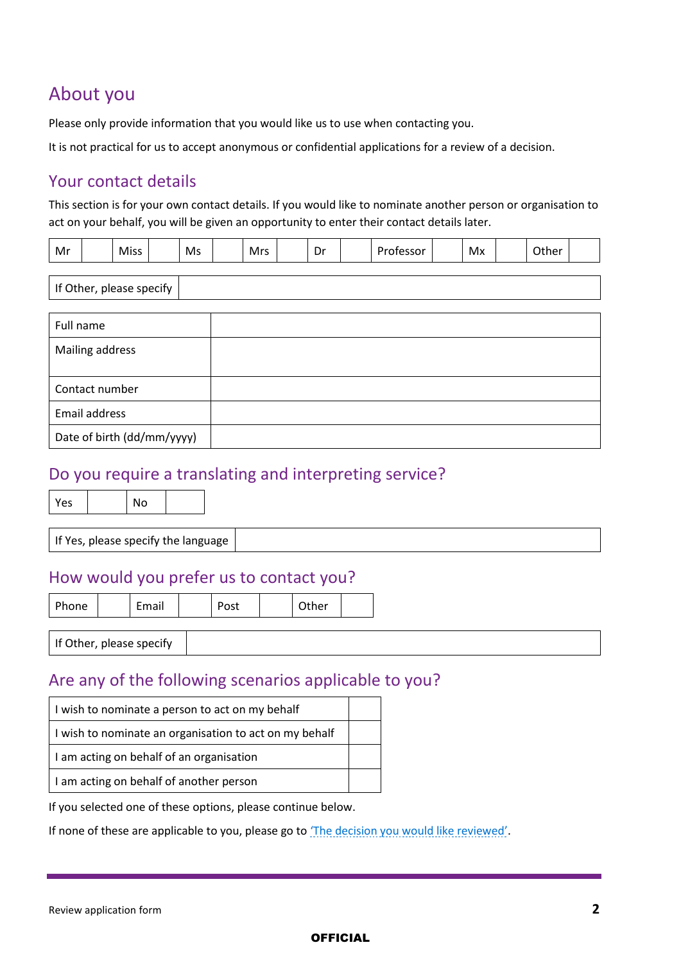# About you

Please only provide information that you would like us to use when contacting you.

It is not practical for us to accept anonymous or confidential applications for a review of a decision.

### Your contact details

Date of birth (dd/mm/yyyy)

This section is for your own contact details. If you would like to nominate another person or organisation to act on your behalf, you will be given an opportunity to enter their contact details later.

| Mr |  | Miss |  | Ms |  | Mrs |  | -<br>Dr |  | Professor |  | Мx |  | Other |  |
|----|--|------|--|----|--|-----|--|---------|--|-----------|--|----|--|-------|--|
|----|--|------|--|----|--|-----|--|---------|--|-----------|--|----|--|-------|--|

| If Other, please specify |  |  |  |  |  |  |
|--------------------------|--|--|--|--|--|--|
|                          |  |  |  |  |  |  |
| Full name                |  |  |  |  |  |  |
| Mailing address          |  |  |  |  |  |  |
| Contact number           |  |  |  |  |  |  |
| Email address            |  |  |  |  |  |  |

# Do you require a translating and interpreting service?

| Yes | No |
|-----|----|
|     |    |

If Yes, please specify the language

# How would you prefer us to contact you?

|  | ٠ |  |
|--|---|--|
|  |   |  |

Phone | Email | Post | Other

If Other, please specify

### Are any of the following scenarios applicable to you?

| I wish to nominate a person to act on my behalf        |  |
|--------------------------------------------------------|--|
| I wish to nominate an organisation to act on my behalf |  |
| I am acting on behalf of an organisation               |  |
| I I am acting on behalf of another person              |  |

If you selected one of these options, please continue below.

If none of these are applicable to you, please go to '[The decision you would like reviewed](#page-3-0)'.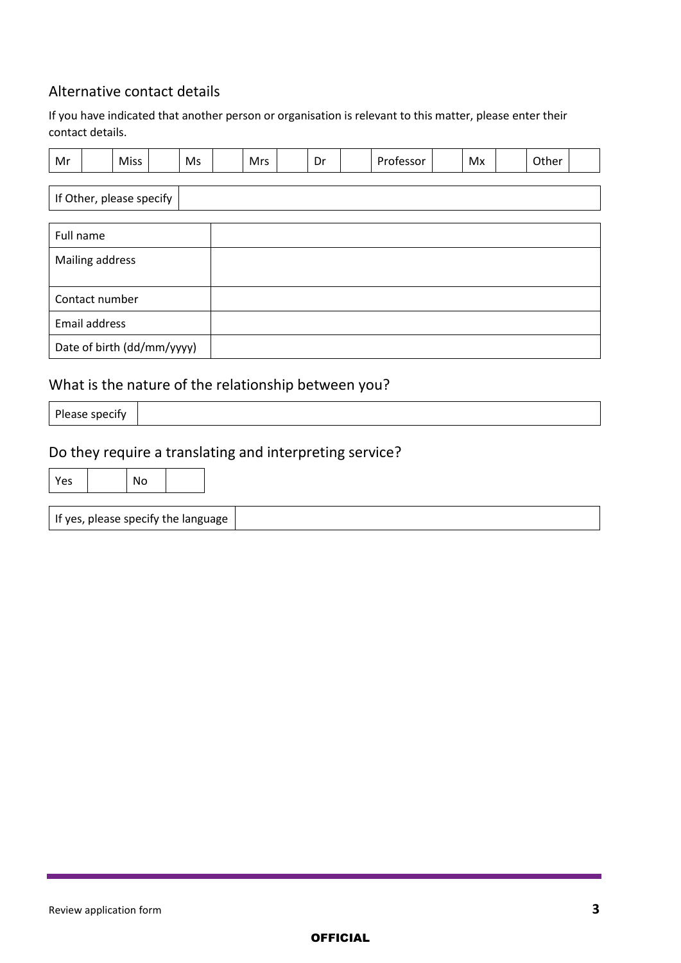### Alternative contact details

If you have indicated that another person or organisation is relevant to this matter, please enter their contact details.

| Mr                         |  | Miss |  | Ms | <b>Mrs</b> | Dr | Professor | Mx | Other |  |
|----------------------------|--|------|--|----|------------|----|-----------|----|-------|--|
|                            |  |      |  |    |            |    |           |    |       |  |
| If Other, please specify   |  |      |  |    |            |    |           |    |       |  |
| Full name                  |  |      |  |    |            |    |           |    |       |  |
| Mailing address            |  |      |  |    |            |    |           |    |       |  |
|                            |  |      |  |    |            |    |           |    |       |  |
| Contact number             |  |      |  |    |            |    |           |    |       |  |
| Email address              |  |      |  |    |            |    |           |    |       |  |
| Date of birth (dd/mm/yyyy) |  |      |  |    |            |    |           |    |       |  |

# What is the nature of the relationship between you?

|--|

# Do they require a translating and interpreting service?

| Yes                                     |  | No |  |  |
|-----------------------------------------|--|----|--|--|
| If yes, please specify the language $ $ |  |    |  |  |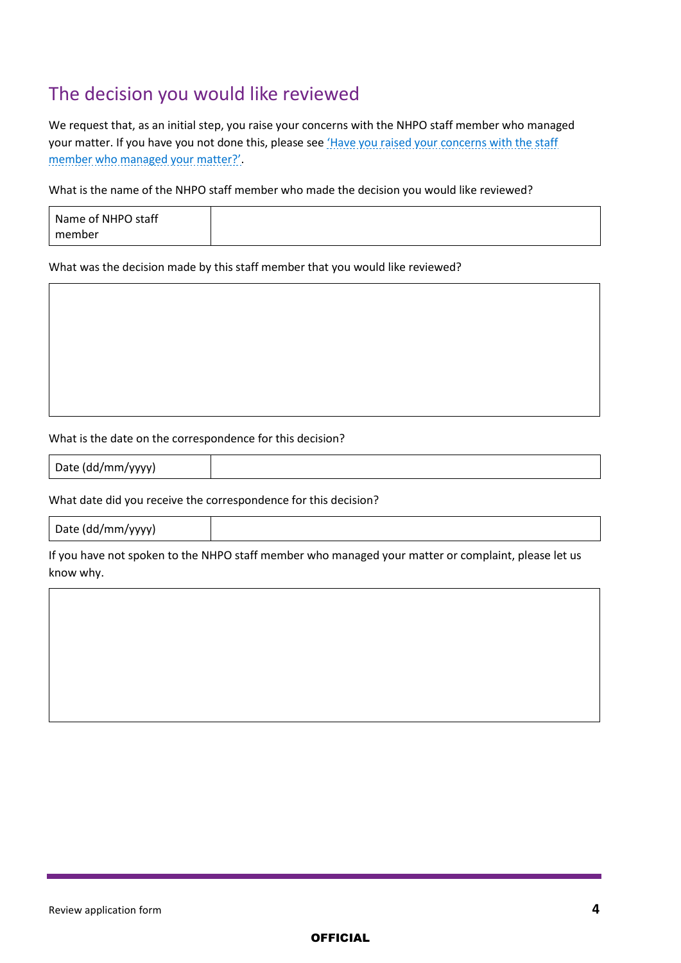# <span id="page-3-0"></span>The decision you would like reviewed

We request that, as an initial step, you raise your concerns with the NHPO staff member who managed your matter. If you have you not done this, please see *Have you raised your concerns with the staff* [member who managed your matter](#page-0-0)?'.

What is the name of the NHPO staff member who made the decision you would like reviewed?

| Name of NHPO staff |  |
|--------------------|--|
| member             |  |

What was the decision made by this staff member that you would like reviewed?

#### What is the date on the correspondence for this decision?

Date (dd/mm/yyyy)

#### What date did you receive the correspondence for this decision?

Date (dd/mm/yyyy)

If you have not spoken to the NHPO staff member who managed your matter or complaint, please let us know why.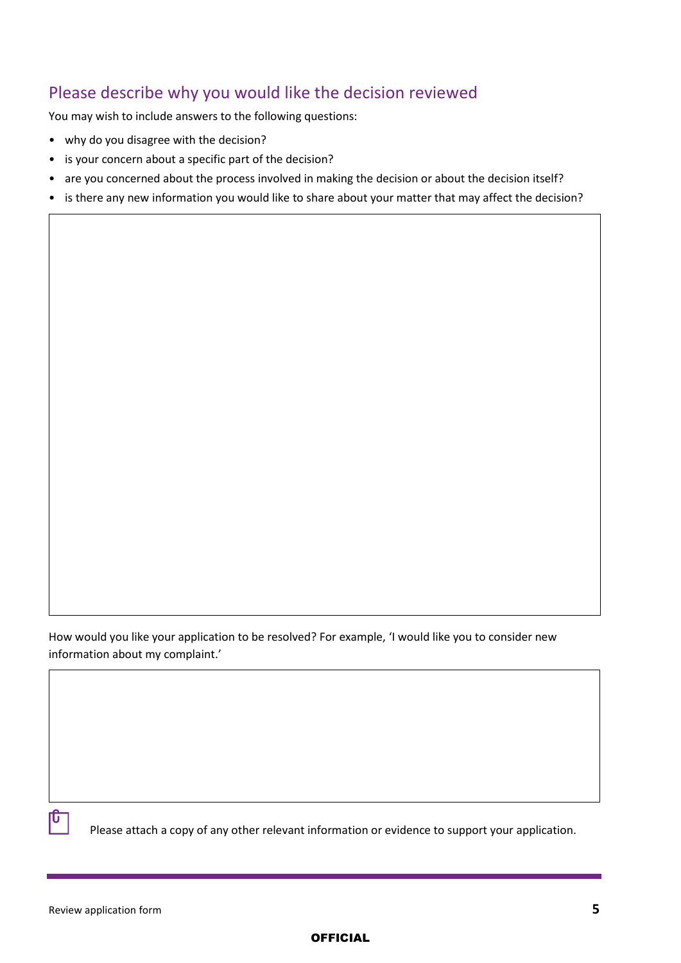# Please describe why you would like the decision reviewed

You may wish to include answers to the following questions:

- why do you disagree with the decision?
- is your concern about a specific part of the decision?
- are you concerned about the process involved in making the decision or about the decision itself?
- is there any new information you would like to share about your matter that may affect the decision?

How would you like your application to be resolved? For example, 'I would like you to consider new information about my complaint.'



Please attach a copy of any other relevant information or evidence to support your application.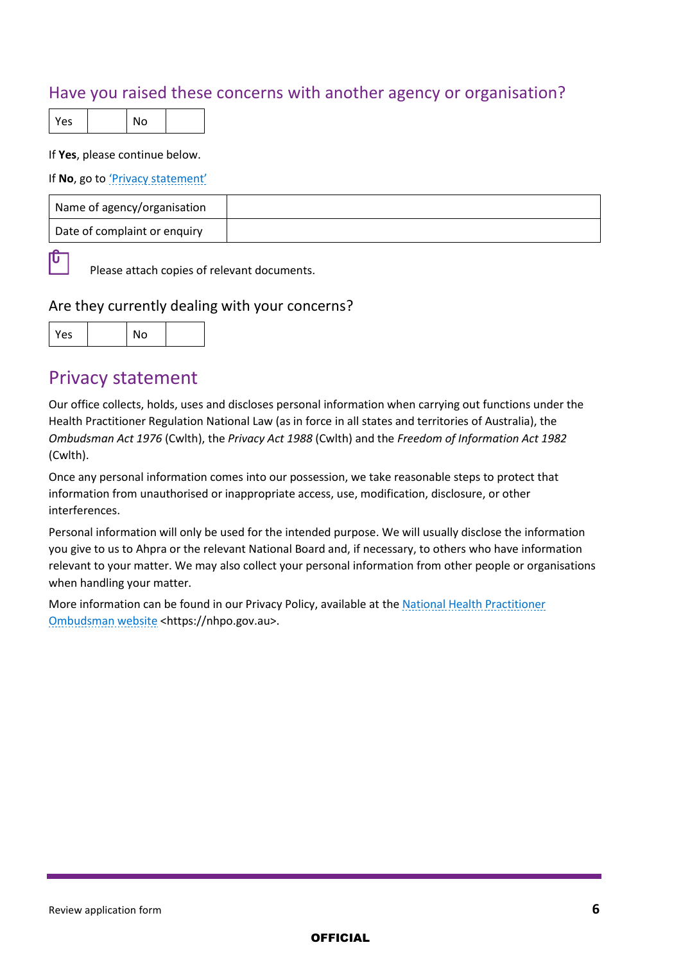# Have you raised these concerns with another agency or organisation?

 $Yes \t | No$ 

If **Yes**, please continue below.

#### If **No**, go to 'Privacy s[tatement'](#page-5-0)

| Name of agency/organisation  |  |
|------------------------------|--|
| Date of complaint or enquiry |  |

 $\mathbb{P}$ 

Please attach copies of relevant documents.

#### Are they currently dealing with your concerns?

| ∸ |  |  |
|---|--|--|

### <span id="page-5-0"></span>Privacy statement

Our office collects, holds, uses and discloses personal information when carrying out functions under the Health Practitioner Regulation National Law (as in force in all states and territories of Australia), the *Ombudsman Act 1976* (Cwlth), the *Privacy Act 1988* (Cwlth) and the *Freedom of Information Act 1982* (Cwlth).

Once any personal information comes into our possession, we take reasonable steps to protect that information from unauthorised or inappropriate access, use, modification, disclosure, or other interferences.

Personal information will only be used for the intended purpose. We will usually disclose the information you give to us to Ahpra or the relevant National Board and, if necessary, to others who have information relevant to your matter. We may also collect your personal information from other people or organisations when handling your matter.

More information can be found in our Privacy Policy, available at th[e National Health Practitioner](https://nhpo.gov.au/)  [Ombudsman website](https://nhpo.gov.au/) <https://nhpo.gov.au>.